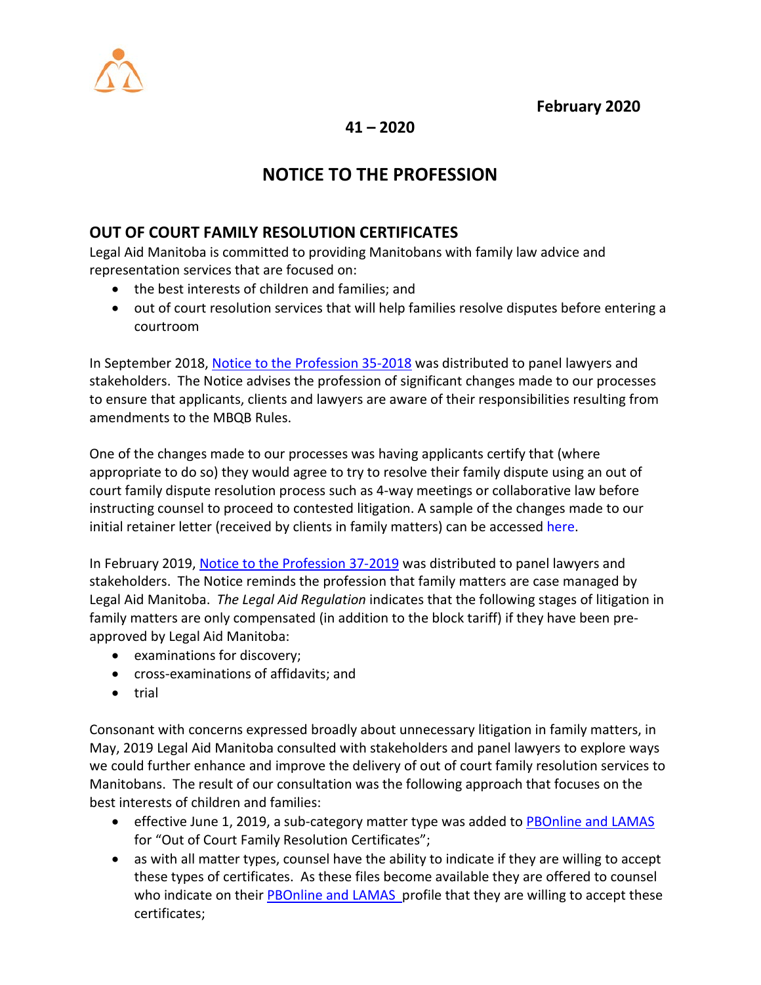



**41 – 2020**

# **NOTICE TO THE PROFESSION**

### **OUT OF COURT FAMILY RESOLUTION CERTIFICATES**

Legal Aid Manitoba is committed to providing Manitobans with family law advice and representation services that are focused on:

- the best interests of children and families; and
- out of court resolution services that will help families resolve disputes before entering a courtroom

In September 2018, [Notice to the Profession 35-2018](https://www.legalaid.mb.ca/wp-content/WordPress/PDF/np_35_2018.pdf) was distributed to panel lawyers and stakeholders. The Notice advises the profession of significant changes made to our processes to ensure that applicants, clients and lawyers are aware of their responsibilities resulting from amendments to the MBQB Rules.

One of the changes made to our processes was having applicants certify that (where appropriate to do so) they would agree to try to resolve their family dispute using an out of court family dispute resolution process such as 4-way meetings or collaborative law before instructing counsel to proceed to contested litigation. A sample of the changes made to our initial retainer letter (received by clients in family matters) can be accessed here.

In February 2019, [Notice to the Profession 37-2019](https://www.legalaid.mb.ca/wp-content/WordPress/PDF/np_37_2019.pdf) was distributed to panel lawyers and stakeholders. The Notice reminds the profession that family matters are case managed by Legal Aid Manitoba. *The Legal Aid Regulation* indicates that the following stages of litigation in family matters are only compensated (in addition to the block tariff) if they have been preapproved by Legal Aid Manitoba:

- examinations for discovery;
- cross-examinations of affidavits; and
- trial

Consonant with concerns expressed broadly about unnecessary litigation in family matters, in May, 2019 Legal Aid Manitoba consulted with stakeholders and panel lawyers to explore ways we could further enhance and improve the delivery of out of court family resolution services to Manitobans. The result of our consultation was the following approach that focuses on the best interests of children and families:

- effective June 1, 2019, a sub-category matter type was added to [PBOnline and LAMAS](https://www.legalaid.mb.ca/wp-content/uploads/2017/03/np_33_2017.pdf)  for "Out of Court Family Resolution Certificates";
- as with all matter types, counsel have the ability to indicate if they are willing to accept these types of certificates. As these files become available they are offered to counsel who indicate on their **PBOnline and LAMAS** profile that they are willing to accept these certificates;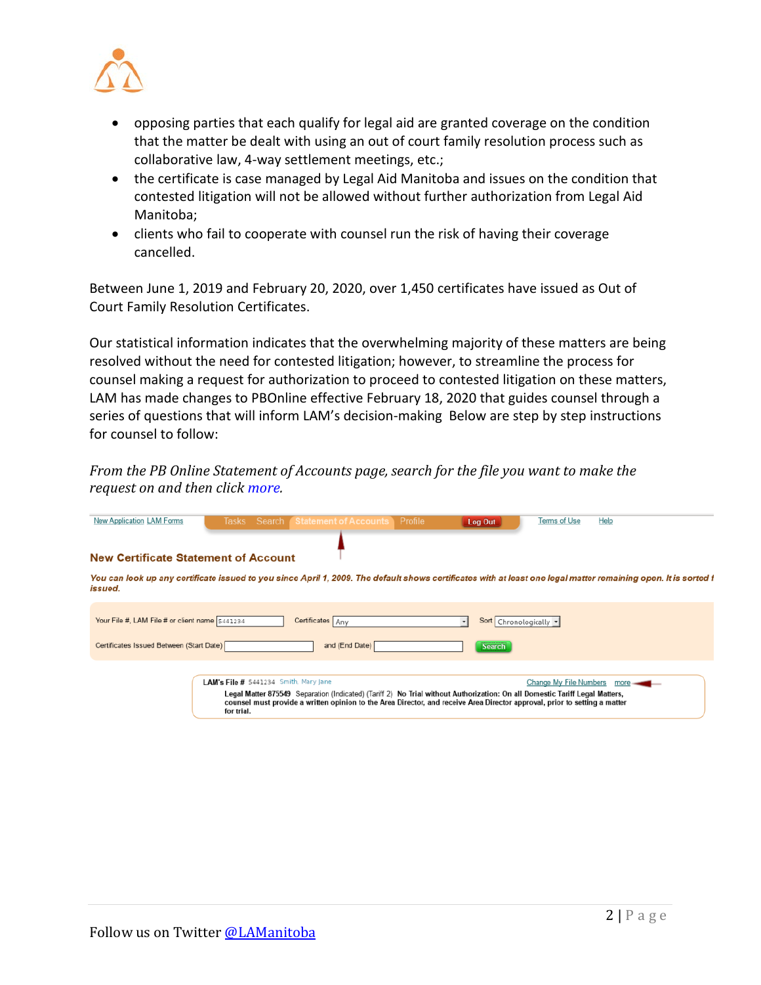

- opposing parties that each qualify for legal aid are granted coverage on the condition that the matter be dealt with using an out of court family resolution process such as collaborative law, 4-way settlement meetings, etc.;
- the certificate is case managed by Legal Aid Manitoba and issues on the condition that contested litigation will not be allowed without further authorization from Legal Aid Manitoba;
- clients who fail to cooperate with counsel run the risk of having their coverage cancelled.

Between June 1, 2019 and February 20, 2020, over 1,450 certificates have issued as Out of Court Family Resolution Certificates.

Our statistical information indicates that the overwhelming majority of these matters are being resolved without the need for contested litigation; however, to streamline the process for counsel making a request for authorization to proceed to contested litigation on these matters, LAM has made changes to PBOnline effective February 18, 2020 that guides counsel through a series of questions that will inform LAM's decision-making Below are step by step instructions for counsel to follow:

*From the PB Online Statement of Accounts page, search for the file you want to make the request on and then click more.*

| New Application LAM Forms                      |                                                     | Tasks Search (Statement of Accounts                                                                                                                                                                                                                       | Profile | Log Out                | Terms of Use           | Help                                                                                                                                                            |
|------------------------------------------------|-----------------------------------------------------|-----------------------------------------------------------------------------------------------------------------------------------------------------------------------------------------------------------------------------------------------------------|---------|------------------------|------------------------|-----------------------------------------------------------------------------------------------------------------------------------------------------------------|
|                                                |                                                     |                                                                                                                                                                                                                                                           |         |                        |                        |                                                                                                                                                                 |
| <b>New Certificate Statement of Account</b>    |                                                     |                                                                                                                                                                                                                                                           |         |                        |                        |                                                                                                                                                                 |
| issued.                                        |                                                     |                                                                                                                                                                                                                                                           |         |                        |                        | You can look up any certificate issued to you since April 1, 2009. The default shows certificates with at least one legal matter remaining open. It is sorted f |
| Your File #, LAM File # or client name 5441234 |                                                     | Certificates Any                                                                                                                                                                                                                                          |         | Sort Chronologically v |                        |                                                                                                                                                                 |
| Certificates Issued Between (Start Date)       |                                                     | and (End Date)                                                                                                                                                                                                                                            |         | <b>Search</b>          |                        |                                                                                                                                                                 |
|                                                | LAM's File # 5441234 Smith, Mary Jane<br>for trial. | Legal Matter 875549 Separation (Indicated) (Tariff 2) No Trial without Authorization: On all Domestic Tariff Legal Matters,<br>counsel must provide a written opinion to the Area Director, and receive Area Director approval, prior to setting a matter |         |                        | Change My File Numbers | more                                                                                                                                                            |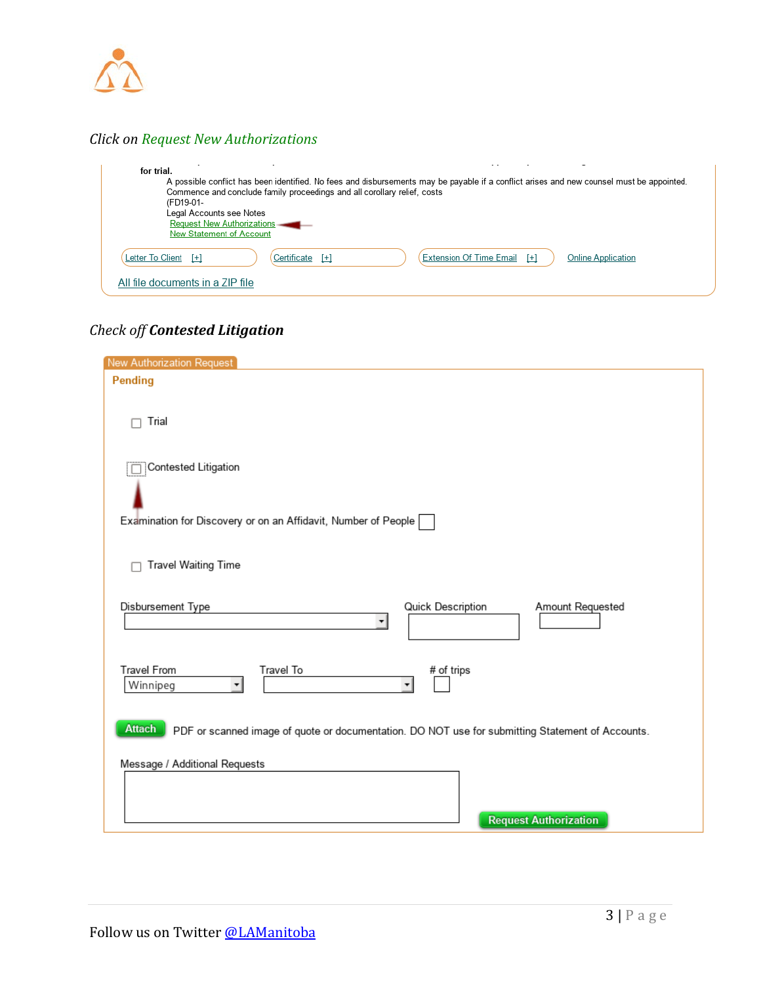

## *Click on Request New Authorizations*

| for trial.<br>Commence and conclude family proceedings and all corollary relief, costs<br>(FD19-01-<br>Legal Accounts see Notes<br>Request New Authorizations<br>New Statement of Account | A possible conflict has been identified. No fees and disbursements may be payable if a conflict arises and new counsel must be appointed. |
|-------------------------------------------------------------------------------------------------------------------------------------------------------------------------------------------|-------------------------------------------------------------------------------------------------------------------------------------------|
| Certificate<br>Letter To Client $[+]$<br>$[+]$                                                                                                                                            | <b>Extension Of Time Email</b> [+]<br><b>Online Application</b>                                                                           |
| All file documents in a ZIP file                                                                                                                                                          |                                                                                                                                           |

## *Check off Contested Litigation*

| New Authorization Request                                                                                  |
|------------------------------------------------------------------------------------------------------------|
| Pending                                                                                                    |
|                                                                                                            |
| Trial                                                                                                      |
|                                                                                                            |
|                                                                                                            |
| Contested Litigation                                                                                       |
|                                                                                                            |
|                                                                                                            |
| Examination for Discovery or on an Affidavit, Number of People                                             |
|                                                                                                            |
|                                                                                                            |
| Travel Waiting Time                                                                                        |
|                                                                                                            |
| Disbursement Type<br>Quick Description<br>Amount Requested                                                 |
| ▼                                                                                                          |
|                                                                                                            |
| Travel From<br>Travel To                                                                                   |
| # of trips<br>Winnipeg<br>▼                                                                                |
|                                                                                                            |
|                                                                                                            |
| Attach<br>PDF or scanned image of quote or documentation. DO NOT use for submitting Statement of Accounts. |
|                                                                                                            |
| Message / Additional Requests                                                                              |
|                                                                                                            |
|                                                                                                            |
| <b>Request Authorization</b>                                                                               |
|                                                                                                            |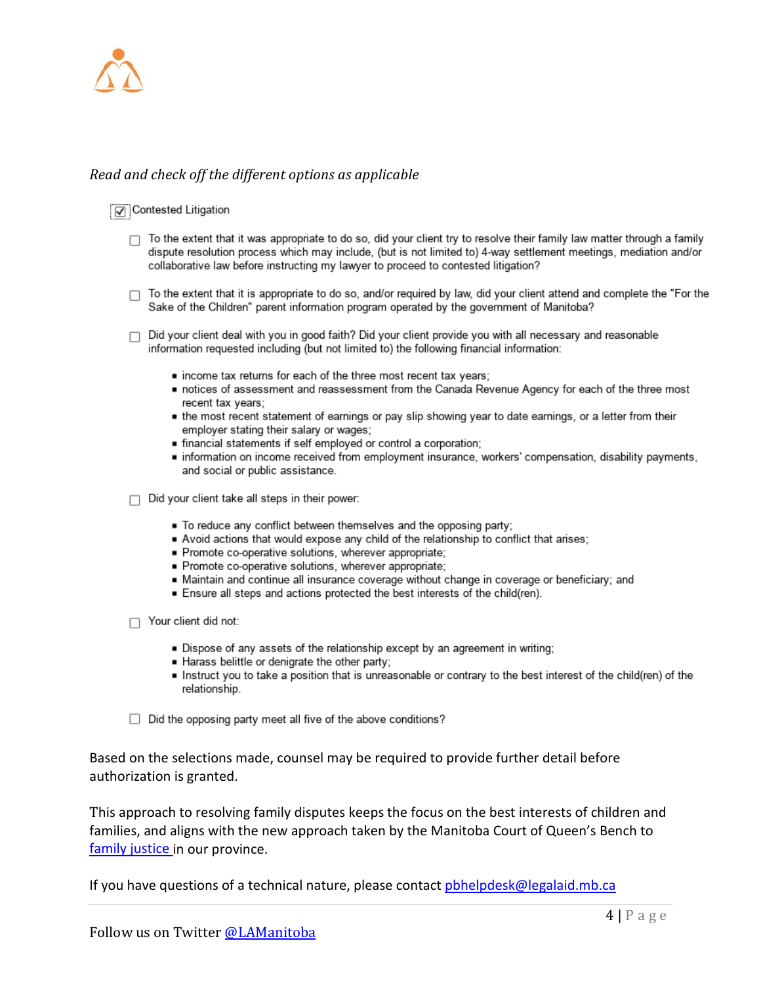

#### Read and check off the different options as applicable

#### Contested Litigation

- $\Box$  To the extent that it was appropriate to do so, did your client try to resolve their family law matter through a family dispute resolution process which may include, (but is not limited to) 4-way settlement meetings, mediation and/or collaborative law before instructing my lawyer to proceed to contested litigation?
- To the extent that it is appropriate to do so, and/or required by law, did your client attend and complete the "For the Sake of the Children" parent information program operated by the government of Manitoba?
- □ Did your client deal with you in good faith? Did your client provide you with all necessary and reasonable information requested including (but not limited to) the following financial information:
	- . income tax returns for each of the three most recent tax years;
	- notices of assessment and reassessment from the Canada Revenue Agency for each of the three most recent tax years;
	- the most recent statement of earnings or pay slip showing year to date earnings, or a letter from their employer stating their salary or wages;
	- financial statements if self employed or control a corporation;
	- information on income received from employment insurance, workers' compensation, disability payments, and social or public assistance.

 $\Box$  Did your client take all steps in their power:

- To reduce any conflict between themselves and the opposing party;
- Avoid actions that would expose any child of the relationship to conflict that arises;
- Promote co-operative solutions, wherever appropriate;
- Promote co-operative solutions, wherever appropriate;
- Maintain and continue all insurance coverage without change in coverage or beneficiary; and
- Ensure all steps and actions protected the best interests of the child(ren).

 $\Box$  Your client did not:

- Dispose of any assets of the relationship except by an agreement in writing;
- Harass belittle or denigrate the other party;
- Instruct you to take a position that is unreasonable or contrary to the best interest of the child(ren) of the relationship.

 $\Box$  Did the opposing party meet all five of the above conditions?

Based on the selections made, counsel may be required to provide further detail before authorization is granted.

This approach to resolving family disputes keeps the focus on the best interests of children and families, and aligns with the new approach taken by the Manitoba Court of Queen's Bench to family justice in our province.

If you have questions of a technical nature, please contact pbhelpdesk@legalaid.mb.ca